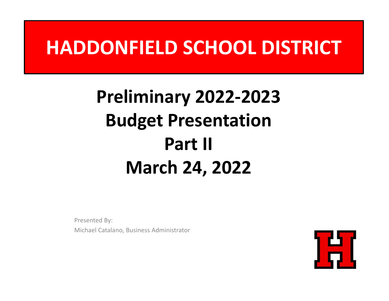### **HADDONFIELD SCHOOL DISTRICT**

### **Preliminary 2022‐2023 Budget Presentation Part II March 24, 2022**

Presented By: Michael Catalano, Business Administrator

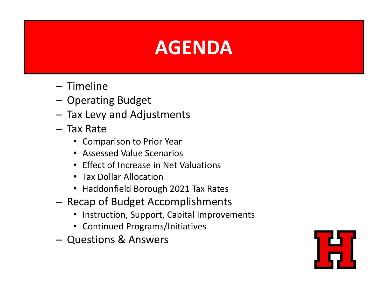# **AGENDA Agenda**

- Timeline
- and the state of the  $-$  Operating Budget
- – $-$  Tax Levy and Adjustments
- Tax Rate
	- Comparison to Prior Year
	- Assessed Value Scenarios
	- Effect of Increase in Net Valuations
	- Tax Dollar Allocation
	- Haddonfield Borough 2021 Tax Rates
- **Links of the Common**  $-$  Recap of Budget Accomplishments
	- Instruction, Support, Capital Improvements
	- Continued Programs/Initiatives
- Questions & Answers

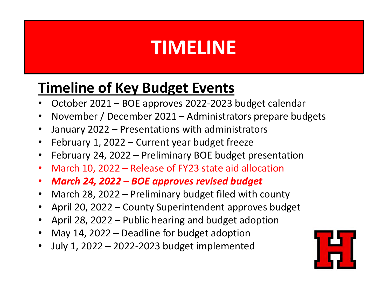# **TIMELINE Agenda**

#### **Timeline of Key Budget Events**

- •October 2021 – BOE approves 2022‐2023 budget calendar
- $\bullet$ November / December 2021 – Administrators prepare budgets
- $\bullet$ January 2022 – Presentations with administrators
- $\bullet$ February 1, 2022 – Current year budget freeze
- $\bullet$ February 24, 2022 – Preliminary BOE budget presentation
- •March 10, 2022 – Release of FY23 state aid allocation
- $\bullet$ *March 24, 2022 – BOE approves revised budget*
- $\bullet$ March 28, 2022 – Preliminary budget filed with county
- •April 20, 2022 – County Superintendent approves budget
- April 28, 2022 Public hearing and budget adoption
- •May 14, 2022 – Deadline for budget adoption
- •July 1, 2022 – 2022‐2023 budget implemented

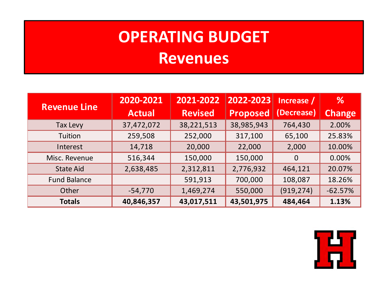# **OPERATING BUDGET**

# **Agenda Revenues**

|                     | 2020-2021     | 2021-2022      | 2022-2023       | Increase /     | $\%$          |
|---------------------|---------------|----------------|-----------------|----------------|---------------|
| <b>Revenue Line</b> | <b>Actual</b> | <b>Revised</b> | <b>Proposed</b> | (Decrease)     | <b>Change</b> |
| <b>Tax Levy</b>     | 37,472,072    | 38,221,513     | 38,985,943      | 764,430        | 2.00%         |
| Tuition             | 259,508       | 252,000        | 317,100         | 65,100         | 25.83%        |
| Interest            | 14,718        | 20,000         | 22,000          | 2,000          | 10.00%        |
| Misc. Revenue       | 516,344       | 150,000        | 150,000         | $\overline{0}$ | 0.00%         |
| <b>State Aid</b>    | 2,638,485     | 2,312,811      | 2,776,932       | 464,121        | 20.07%        |
| <b>Fund Balance</b> |               | 591,913        | 700,000         | 108,087        | 18.26%        |
| Other               | $-54,770$     | 1,469,274      | 550,000         | (919, 274)     | $-62.57%$     |
| <b>Totals</b>       | 40,846,357    | 43,017,511     | 43,501,975      | 484,464        | 1.13%         |

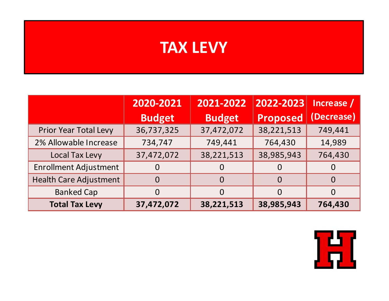### **TAX Agenda LEVY**

|                               | 2021-2022<br>2020-2021<br>2022-2023 |               | Increase /      |            |
|-------------------------------|-------------------------------------|---------------|-----------------|------------|
|                               | <b>Budget</b>                       | <b>Budget</b> | <b>Proposed</b> | (Decrease) |
| <b>Prior Year Total Levy</b>  | 36,737,325                          | 37,472,072    | 38,221,513      | 749,441    |
| 2% Allowable Increase         | 734,747                             | 749,441       | 764,430         | 14,989     |
| <b>Local Tax Levy</b>         | 37,472,072                          | 38,221,513    | 38,985,943      | 764,430    |
| <b>Enrollment Adjustment</b>  |                                     |               | $\Omega$        |            |
| <b>Health Care Adjustment</b> | $\Omega$                            | $\Omega$      | $\Omega$        | $\Omega$   |
| <b>Banked Cap</b>             | $\Omega$                            | 0             | $\Omega$        | $\Omega$   |
| <b>Total Tax Levy</b>         | 37,472,072                          | 38,221,513    | 38,985,943      | 764,430    |

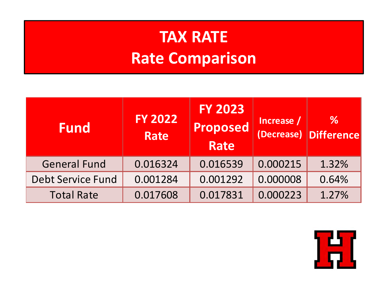#### **Agenda Rate Comparison TAX RATE**

| <b>Fund</b>              | <b>FY 2022</b><br>Rate | <b>FY 2023</b><br>Proposed<br><b>Rate</b> | Increase / | %<br>(Decrease) Difference |
|--------------------------|------------------------|-------------------------------------------|------------|----------------------------|
| <b>General Fund</b>      | 0.016324               | 0.016539                                  | 0.000215   | 1.32%                      |
| <b>Debt Service Fund</b> | 0.001284               | 0.001292                                  | 0.000008   | 0.64%                      |
| <b>Total Rate</b>        | 0.017608               | 0.017831                                  | 0.000223   | 1.27%                      |

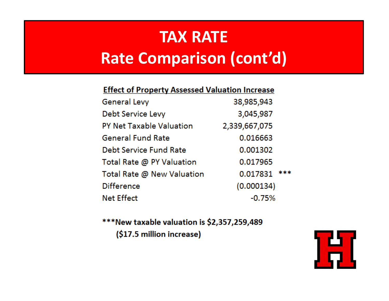#### **Agenda Rate Comparison (cont'd)TAX RATE**

| <b>Effect of Property Assessed Valuation Increase</b> |  |  |
|-------------------------------------------------------|--|--|
|                                                       |  |  |

| <b>General Levy</b>             | 38,985,943      |  |
|---------------------------------|-----------------|--|
| Debt Service Levy               | 3,045,987       |  |
| <b>PY Net Taxable Valuation</b> | 2,339,667,075   |  |
| <b>General Fund Rate</b>        | 0.016663        |  |
| <b>Debt Service Fund Rate</b>   | 0.001302        |  |
| Total Rate @ PY Valuation       | 0.017965        |  |
| Total Rate @ New Valuation      | ***<br>0.017831 |  |
| <b>Difference</b>               | (0.000134)      |  |
| <b>Net Effect</b>               | $-0.75%$        |  |

\*\*\*New taxable valuation is \$2,357,259,489 (\$17.5 million increase)

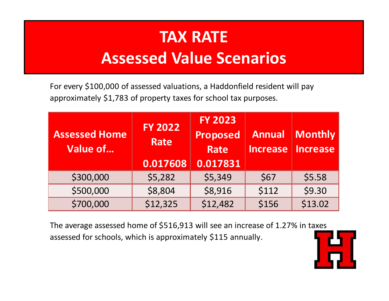### **Assessed Value Scenarios TAX RATE**

For every \$100,000 of assessed valuations, <sup>a</sup> Haddonfield resident will pay approximately \$1,783 of property taxes for school tax purposes.

| <b>Assessed Home</b><br>Value of | <b>FY 2022</b><br><b>Rate</b><br>0.017608 | <b>FY 2023</b><br><b>Proposed</b><br><b>Rate</b><br>0.017831 | <b>Annual</b><br><b>Increase</b> | Monthly  <br>  Increase |
|----------------------------------|-------------------------------------------|--------------------------------------------------------------|----------------------------------|-------------------------|
| \$300,000                        | \$5,282                                   | \$5,349                                                      | \$67                             | \$5.58                  |
| \$500,000                        | \$8,804                                   | \$8,916                                                      | \$112                            | \$9.30                  |
| \$700,000                        | \$12,325                                  | \$12,482                                                     | \$156                            | \$13.02                 |

The average assessed home of \$516,913 will see an increase of 1.27% in taxes assessed for schools, which is approximately \$115 annually.

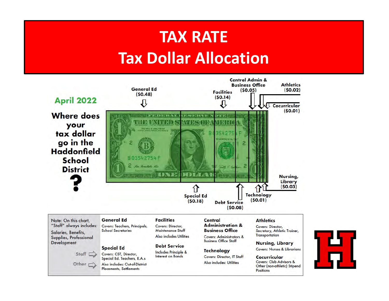#### **Agenda Tax Dollar AllocationTAX RATE**



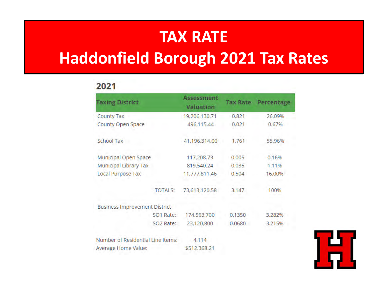#### **TAX RATE**

# **Agenda Haddonfield Borough 2021 Tax Rates**

#### 2021

| <b>Taxing District</b>               | Assessment<br><b>Valuation</b> | <b>Tax Rate</b> | Percentage |
|--------------------------------------|--------------------------------|-----------------|------------|
| County Tax                           | 19,206,130.71                  | 0.821           | 26.09%     |
| County Open Space                    | 496,115.44                     | 0.021           | 0.67%      |
| School Tax                           | 41,196,314.00                  | 1.761           | 55.96%     |
| Municipal Open Space                 | 117,208.73                     | 0.005           | 0.16%      |
| Municipal Library Tax                | 819,540.24                     | 0.035           | 1.11%      |
| Local Purpose Tax                    | 11,777,811.46                  | 0.504           | 16.00%     |
| <b>TOTALS:</b>                       | 73,613,120.58                  | 3.147           | 100%       |
| <b>Business Improvement District</b> |                                |                 |            |
| SO1 Rate:                            | 174,563,700                    | 0.1350          | 3.282%     |
| SO2 Rate:                            | 23,120,800                     | 0.0680          | 3.215%     |
| Number of Residential Line Items:    | 4,114                          |                 |            |
| Average Home Value:                  | \$512,368.21                   |                 |            |

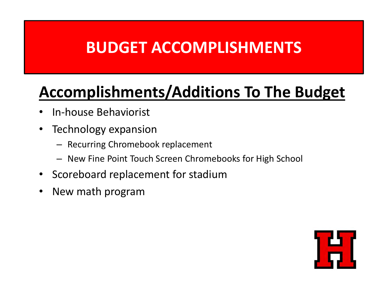### **BUDGET ACCOMPLISHMENTS Agenda**

#### **Accomplishments/Additions To The Budget**

- •• In-house Behaviorist
- • Technology expansion
	- Recurring Chromebook replacement
	- New Fine Point Touch Screen Chromebooks for High School
- Scoreboard replacement for stadium
- $\bullet$ New math program

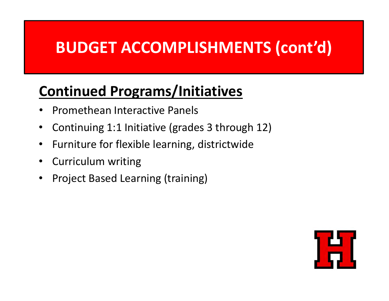### **BUDGET ACCOMPLISHMENTS (cont'd) Agenda**

#### **Continued Programs/Initiatives**

- •• Promethean Interactive Panels
- $\bullet$ Continuing 1:1 Initiative (grades 3 through 12)
- •**•** Furniture for flexible learning, districtwide
- $\bullet$ Curriculum writing
- •Project Based Learning (training)